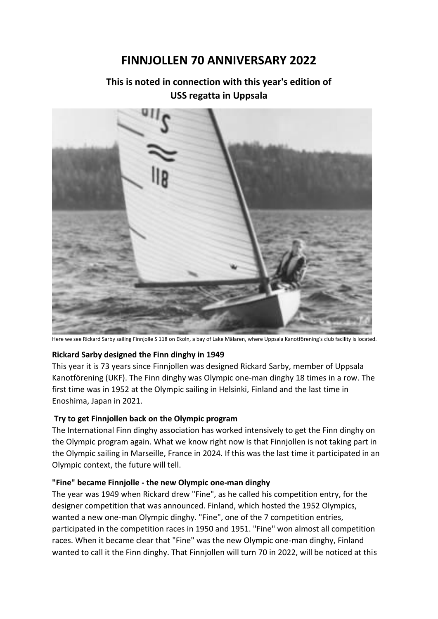# **FINNJOLLEN 70 ANNIVERSARY 2022**

# **This is noted in connection with this year's edition of USS regatta in Uppsala**



Here we see Rickard Sarby sailing Finnjolle S 118 on Ekoln, a bay of Lake Mälaren, where Uppsala Kanotförening's club facility is located.

#### **Rickard Sarby designed the Finn dinghy in 1949**

This year it is 73 years since Finnjollen was designed Rickard Sarby, member of Uppsala Kanotförening (UKF). The Finn dinghy was Olympic one-man dinghy 18 times in a row. The first time was in 1952 at the Olympic sailing in Helsinki, Finland and the last time in Enoshima, Japan in 2021.

## **Try to get Finnjollen back on the Olympic program**

The International Finn dinghy association has worked intensively to get the Finn dinghy on the Olympic program again. What we know right now is that Finnjollen is not taking part in the Olympic sailing in Marseille, France in 2024. If this was the last time it participated in an Olympic context, the future will tell.

## **"Fine" became Finnjolle - the new Olympic one-man dinghy**

The year was 1949 when Rickard drew "Fine", as he called his competition entry, for the designer competition that was announced. Finland, which hosted the 1952 Olympics, wanted a new one-man Olympic dinghy. "Fine", one of the 7 competition entries, participated in the competition races in 1950 and 1951. "Fine" won almost all competition races. When it became clear that "Fine" was the new Olympic one-man dinghy, Finland wanted to call it the Finn dinghy. That Finnjollen will turn 70 in 2022, will be noticed at this